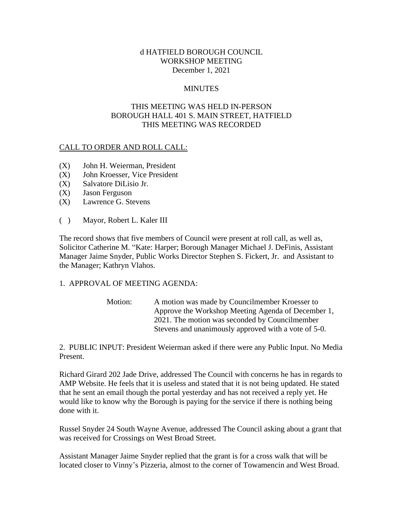#### d HATFIELD BOROUGH COUNCIL WORKSHOP MEETING December 1, 2021

#### **MINUTES**

#### THIS MEETING WAS HELD IN-PERSON BOROUGH HALL 401 S. MAIN STREET, HATFIELD THIS MEETING WAS RECORDED

#### CALL TO ORDER AND ROLL CALL:

- (X) John H. Weierman, President
- (X) John Kroesser, Vice President
- (X) Salvatore DiLisio Jr.
- (X) Jason Ferguson
- (X) Lawrence G. Stevens
- ( ) Mayor, Robert L. Kaler III

The record shows that five members of Council were present at roll call, as well as, Solicitor Catherine M. "Kate: Harper; Borough Manager Michael J. DeFinis, Assistant Manager Jaime Snyder, Public Works Director Stephen S. Fickert, Jr. and Assistant to the Manager; Kathryn Vlahos.

#### 1. APPROVAL OF MEETING AGENDA:

| Motion: | A motion was made by Councilmember Kroesser to       |
|---------|------------------------------------------------------|
|         | Approve the Workshop Meeting Agenda of December 1,   |
|         | 2021. The motion was seconded by Councilmember       |
|         | Stevens and unanimously approved with a vote of 5-0. |

2. PUBLIC INPUT: President Weierman asked if there were any Public Input. No Media Present.

Richard Girard 202 Jade Drive, addressed The Council with concerns he has in regards to AMP Website. He feels that it is useless and stated that it is not being updated. He stated that he sent an email though the portal yesterday and has not received a reply yet. He would like to know why the Borough is paying for the service if there is nothing being done with it.

Russel Snyder 24 South Wayne Avenue, addressed The Council asking about a grant that was received for Crossings on West Broad Street.

Assistant Manager Jaime Snyder replied that the grant is for a cross walk that will be located closer to Vinny's Pizzeria, almost to the corner of Towamencin and West Broad.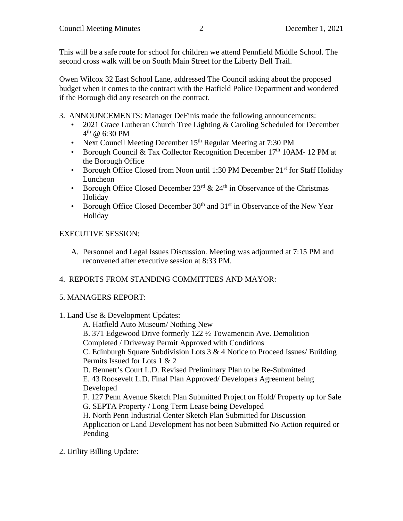This will be a safe route for school for children we attend Pennfield Middle School. The second cross walk will be on South Main Street for the Liberty Bell Trail.

Owen Wilcox 32 East School Lane, addressed The Council asking about the proposed budget when it comes to the contract with the Hatfield Police Department and wondered if the Borough did any research on the contract.

- 3. ANNOUNCEMENTS: Manager DeFinis made the following announcements:
	- 2021 Grace Lutheran Church Tree Lighting & Caroling Scheduled for December  $4^{\text{th}}$  @ 6:30 PM
	- Next Council Meeting December 15<sup>th</sup> Regular Meeting at 7:30 PM
	- Borough Council & Tax Collector Recognition December  $17<sup>th</sup>$  10AM- 12 PM at the Borough Office
	- Borough Office Closed from Noon until 1:30 PM December  $21<sup>st</sup>$  for Staff Holiday Luncheon
	- Borough Office Closed December  $23<sup>rd</sup>$  &  $24<sup>th</sup>$  in Observance of the Christmas Holiday
	- Borough Office Closed December  $30<sup>th</sup>$  and  $31<sup>st</sup>$  in Observance of the New Year Holiday

# EXECUTIVE SESSION:

A. Personnel and Legal Issues Discussion. Meeting was adjourned at 7:15 PM and reconvened after executive session at 8:33 PM.

# 4. REPORTS FROM STANDING COMMITTEES AND MAYOR:

### 5. MANAGERS REPORT:

### 1. Land Use & Development Updates:

A. Hatfield Auto Museum/ Nothing New

B. 371 Edgewood Drive formerly 122 ½ Towamencin Ave. Demolition

Completed / Driveway Permit Approved with Conditions

C. Edinburgh Square Subdivision Lots 3 & 4 Notice to Proceed Issues/ Building Permits Issued for Lots 1 & 2

D. Bennett's Court L.D. Revised Preliminary Plan to be Re-Submitted

E. 43 Roosevelt L.D. Final Plan Approved/ Developers Agreement being Developed

F. 127 Penn Avenue Sketch Plan Submitted Project on Hold/ Property up for Sale G. SEPTA Property / Long Term Lease being Developed

H. North Penn Industrial Center Sketch Plan Submitted for Discussion Application or Land Development has not been Submitted No Action required or Pending

2. Utility Billing Update: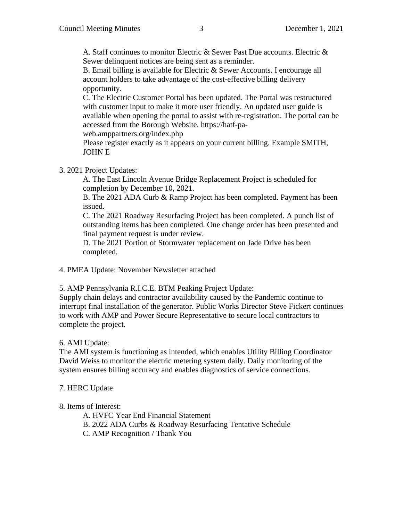A. Staff continues to monitor Electric & Sewer Past Due accounts. Electric & Sewer delinquent notices are being sent as a reminder.

B. Email billing is available for Electric & Sewer Accounts. I encourage all account holders to take advantage of the cost-effective billing delivery opportunity.

C. The Electric Customer Portal has been updated. The Portal was restructured with customer input to make it more user friendly. An updated user guide is available when opening the portal to assist with re-registration. The portal can be accessed from the Borough Website. https://hatf-pa-

web.amppartners.org/index.php

Please register exactly as it appears on your current billing. Example SMITH, JOHN E

3. 2021 Project Updates:

A. The East Lincoln Avenue Bridge Replacement Project is scheduled for completion by December 10, 2021.

B. The 2021 ADA Curb & Ramp Project has been completed. Payment has been issued.

C. The 2021 Roadway Resurfacing Project has been completed. A punch list of outstanding items has been completed. One change order has been presented and final payment request is under review.

D. The 2021 Portion of Stormwater replacement on Jade Drive has been completed.

4. PMEA Update: November Newsletter attached

5. AMP Pennsylvania R.I.C.E. BTM Peaking Project Update:

Supply chain delays and contractor availability caused by the Pandemic continue to interrupt final installation of the generator. Public Works Director Steve Fickert continues to work with AMP and Power Secure Representative to secure local contractors to complete the project.

6. AMI Update:

The AMI system is functioning as intended, which enables Utility Billing Coordinator David Weiss to monitor the electric metering system daily. Daily monitoring of the system ensures billing accuracy and enables diagnostics of service connections.

### 7. HERC Update

8. Items of Interest:

A. HVFC Year End Financial Statement

B. 2022 ADA Curbs & Roadway Resurfacing Tentative Schedule

C. AMP Recognition / Thank You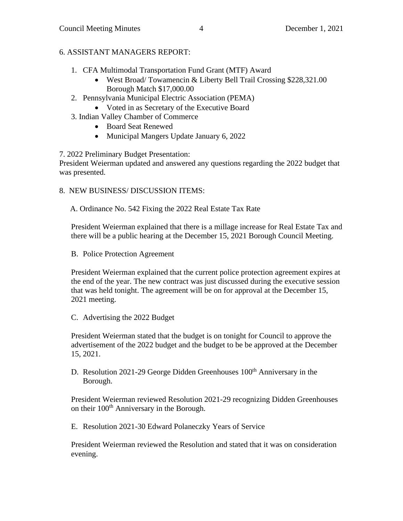# 6. ASSISTANT MANAGERS REPORT:

- 1. CFA Multimodal Transportation Fund Grant (MTF) Award
	- West Broad/ Towamencin & Liberty Bell Trail Crossing \$228,321.00 Borough Match \$17,000.00
- 2. Pennsylvania Municipal Electric Association (PEMA)
	- Voted in as Secretary of the Executive Board
- 3. Indian Valley Chamber of Commerce
	- Board Seat Renewed
	- Municipal Mangers Update January 6, 2022

7. 2022 Preliminary Budget Presentation:

President Weierman updated and answered any questions regarding the 2022 budget that was presented.

8. NEW BUSINESS/ DISCUSSION ITEMS:

A. Ordinance No. 542 Fixing the 2022 Real Estate Tax Rate

President Weierman explained that there is a millage increase for Real Estate Tax and there will be a public hearing at the December 15, 2021 Borough Council Meeting.

B. Police Protection Agreement

President Weierman explained that the current police protection agreement expires at the end of the year. The new contract was just discussed during the executive session that was held tonight. The agreement will be on for approval at the December 15, 2021 meeting.

C. Advertising the 2022 Budget

President Weierman stated that the budget is on tonight for Council to approve the advertisement of the 2022 budget and the budget to be be approved at the December 15, 2021.

D. Resolution 2021-29 George Didden Greenhouses 100<sup>th</sup> Anniversary in the Borough.

President Weierman reviewed Resolution 2021-29 recognizing Didden Greenhouses on their 100<sup>th</sup> Anniversary in the Borough.

E. Resolution 2021-30 Edward Polaneczky Years of Service

President Weierman reviewed the Resolution and stated that it was on consideration evening.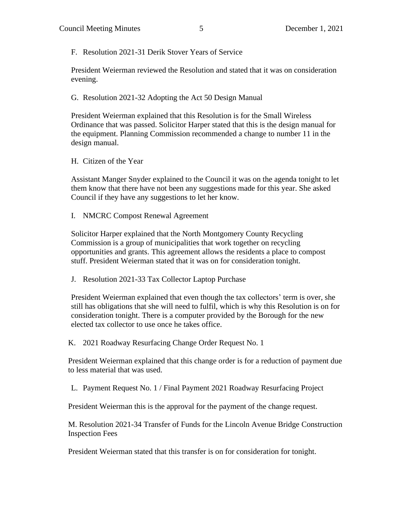F. Resolution 2021-31 Derik Stover Years of Service

President Weierman reviewed the Resolution and stated that it was on consideration evening.

G. Resolution 2021-32 Adopting the Act 50 Design Manual

President Weierman explained that this Resolution is for the Small Wireless Ordinance that was passed. Solicitor Harper stated that this is the design manual for the equipment. Planning Commission recommended a change to number 11 in the design manual.

H. Citizen of the Year

Assistant Manger Snyder explained to the Council it was on the agenda tonight to let them know that there have not been any suggestions made for this year. She asked Council if they have any suggestions to let her know.

I. NMCRC Compost Renewal Agreement

Solicitor Harper explained that the North Montgomery County Recycling Commission is a group of municipalities that work together on recycling opportunities and grants. This agreement allows the residents a place to compost stuff. President Weierman stated that it was on for consideration tonight.

J. Resolution 2021-33 Tax Collector Laptop Purchase

President Weierman explained that even though the tax collectors' term is over, she still has obligations that she will need to fulfil, which is why this Resolution is on for consideration tonight. There is a computer provided by the Borough for the new elected tax collector to use once he takes office.

K. 2021 Roadway Resurfacing Change Order Request No. 1

President Weierman explained that this change order is for a reduction of payment due to less material that was used.

L. Payment Request No. 1 / Final Payment 2021 Roadway Resurfacing Project

President Weierman this is the approval for the payment of the change request.

M. Resolution 2021-34 Transfer of Funds for the Lincoln Avenue Bridge Construction Inspection Fees

President Weierman stated that this transfer is on for consideration for tonight.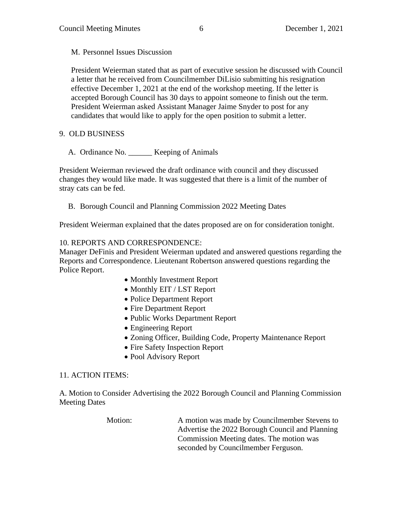M. Personnel Issues Discussion

President Weierman stated that as part of executive session he discussed with Council a letter that he received from Councilmember DiLisio submitting his resignation effective December 1, 2021 at the end of the workshop meeting. If the letter is accepted Borough Council has 30 days to appoint someone to finish out the term. President Weierman asked Assistant Manager Jaime Snyder to post for any candidates that would like to apply for the open position to submit a letter.

# 9. OLD BUSINESS

A. Ordinance No. \_\_\_\_\_\_ Keeping of Animals

President Weierman reviewed the draft ordinance with council and they discussed changes they would like made. It was suggested that there is a limit of the number of stray cats can be fed.

B. Borough Council and Planning Commission 2022 Meeting Dates

President Weierman explained that the dates proposed are on for consideration tonight.

# 10. REPORTS AND CORRESPONDENCE:

Manager DeFinis and President Weierman updated and answered questions regarding the Reports and Correspondence. Lieutenant Robertson answered questions regarding the Police Report.

- Monthly Investment Report
- Monthly EIT / LST Report
- Police Department Report
- Fire Department Report
- Public Works Department Report
- Engineering Report
- Zoning Officer, Building Code, Property Maintenance Report
- Fire Safety Inspection Report
- Pool Advisory Report

### 11. ACTION ITEMS:

A. Motion to Consider Advertising the 2022 Borough Council and Planning Commission Meeting Dates

> Motion: A motion was made by Councilmember Stevens to Advertise the 2022 Borough Council and Planning Commission Meeting dates. The motion was seconded by Councilmember Ferguson.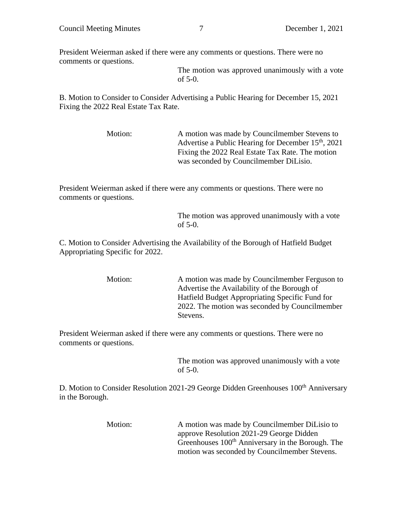President Weierman asked if there were any comments or questions. There were no comments or questions.

> The motion was approved unanimously with a vote of 5-0.

B. Motion to Consider to Consider Advertising a Public Hearing for December 15, 2021 Fixing the 2022 Real Estate Tax Rate.

> Motion: A motion was made by Councilmember Stevens to Advertise a Public Hearing for December  $15<sup>th</sup>$ , 2021 Fixing the 2022 Real Estate Tax Rate. The motion was seconded by Councilmember DiLisio.

President Weierman asked if there were any comments or questions. There were no comments or questions.

> The motion was approved unanimously with a vote of 5-0.

C. Motion to Consider Advertising the Availability of the Borough of Hatfield Budget Appropriating Specific for 2022.

> Motion: A motion was made by Councilmember Ferguson to Advertise the Availability of the Borough of Hatfield Budget Appropriating Specific Fund for 2022. The motion was seconded by Councilmember Stevens.

President Weierman asked if there were any comments or questions. There were no comments or questions.

> The motion was approved unanimously with a vote of 5-0.

D. Motion to Consider Resolution 2021-29 George Didden Greenhouses 100<sup>th</sup> Anniversary in the Borough.

| Motion: | A motion was made by Councilmember DiLisio to                 |
|---------|---------------------------------------------------------------|
|         | approve Resolution 2021-29 George Didden                      |
|         | Greenhouses 100 <sup>th</sup> Anniversary in the Borough. The |
|         | motion was seconded by Councilmember Stevens.                 |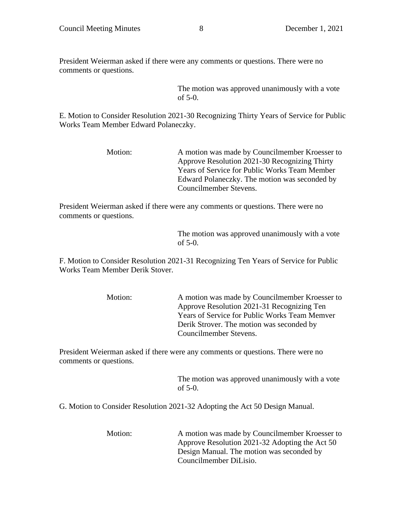President Weierman asked if there were any comments or questions. There were no comments or questions.

> The motion was approved unanimously with a vote of 5-0.

E. Motion to Consider Resolution 2021-30 Recognizing Thirty Years of Service for Public Works Team Member Edward Polaneczky.

| Motion: | A motion was made by Councilmember Kroesser to |
|---------|------------------------------------------------|
|         | Approve Resolution 2021-30 Recognizing Thirty  |
|         | Years of Service for Public Works Team Member  |
|         | Edward Polaneczky. The motion was seconded by  |
|         | Councilmember Stevens.                         |

President Weierman asked if there were any comments or questions. There were no comments or questions.

```
The motion was approved unanimously with a vote 
of 5-0.
```
F. Motion to Consider Resolution 2021-31 Recognizing Ten Years of Service for Public Works Team Member Derik Stover.

| Motion: | A motion was made by Councilmember Kroesser to       |
|---------|------------------------------------------------------|
|         | Approve Resolution 2021-31 Recognizing Ten           |
|         | <b>Years of Service for Public Works Team Memver</b> |
|         | Derik Strover. The motion was seconded by            |
|         | Councilmember Stevens.                               |

President Weierman asked if there were any comments or questions. There were no comments or questions.

> The motion was approved unanimously with a vote of 5-0.

G. Motion to Consider Resolution 2021-32 Adopting the Act 50 Design Manual.

Motion: A motion was made by Councilmember Kroesser to Approve Resolution 2021-32 Adopting the Act 50 Design Manual. The motion was seconded by Councilmember DiLisio.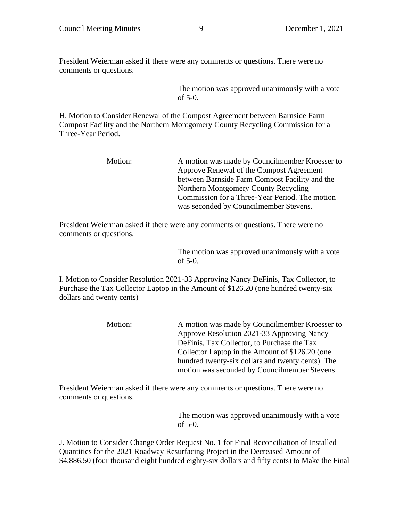President Weierman asked if there were any comments or questions. There were no comments or questions.

> The motion was approved unanimously with a vote of 5-0.

H. Motion to Consider Renewal of the Compost Agreement between Barnside Farm Compost Facility and the Northern Montgomery County Recycling Commission for a Three-Year Period.

| Motion: | A motion was made by Councilmember Kroesser to |
|---------|------------------------------------------------|
|         | Approve Renewal of the Compost Agreement       |
|         | between Barnside Farm Compost Facility and the |
|         | Northern Montgomery County Recycling           |
|         | Commission for a Three-Year Period. The motion |
|         | was seconded by Councilmember Stevens.         |

President Weierman asked if there were any comments or questions. There were no comments or questions.

> The motion was approved unanimously with a vote of 5-0.

I. Motion to Consider Resolution 2021-33 Approving Nancy DeFinis, Tax Collector, to Purchase the Tax Collector Laptop in the Amount of \$126.20 (one hundred twenty-six dollars and twenty cents)

> Motion: A motion was made by Councilmember Kroesser to Approve Resolution 2021-33 Approving Nancy DeFinis, Tax Collector, to Purchase the Tax Collector Laptop in the Amount of \$126.20 (one hundred twenty-six dollars and twenty cents). The motion was seconded by Councilmember Stevens.

President Weierman asked if there were any comments or questions. There were no comments or questions.

> The motion was approved unanimously with a vote of 5-0.

J. Motion to Consider Change Order Request No. 1 for Final Reconciliation of Installed Quantities for the 2021 Roadway Resurfacing Project in the Decreased Amount of \$4,886.50 (four thousand eight hundred eighty-six dollars and fifty cents) to Make the Final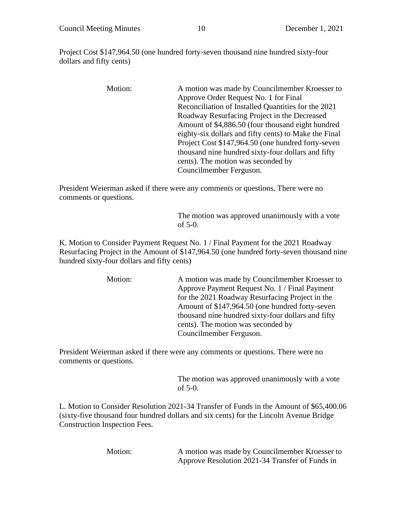Project Cost \$147,964.50 (one hundred forty-seven thousand nine hundred sixty-four dollars and fifty cents)

> Motion: A motion was made by Councilmember Kroesser to Approve Order Request No. 1 for Final Reconciliation of Installed Quantities for the 2021 Roadway Resurfacing Project in the Decreased Amount of \$4,886.50 (four thousand eight hundred eighty-six dollars and fifty cents) to Make the Final Project Cost \$147,964.50 (one hundred forty-seven thousand nine hundred sixty-four dollars and fifty cents). The motion was seconded by Councilmember Ferguson.

President Weierman asked if there were any comments or questions. There were no comments or questions.

> The motion was approved unanimously with a vote of 5-0.

K. Motion to Consider Payment Request No. 1 / Final Payment for the 2021 Roadway Resurfacing Project in the Amount of \$147,964.50 (one hundred forty-seven thousand nine hundred sixty-four dollars and fifty cents)

> Motion: A motion was made by Councilmember Kroesser to Approve Payment Request No. 1 / Final Payment for the 2021 Roadway Resurfacing Project in the Amount of \$147,964.50 (one hundred forty-seven thousand nine hundred sixty-four dollars and fifty cents). The motion was seconded by Councilmember Ferguson.

President Weierman asked if there were any comments or questions. There were no comments or questions.

> The motion was approved unanimously with a vote of 5-0.

L. Motion to Consider Resolution 2021-34 Transfer of Funds in the Amount of \$65,400.06 (sixty-five thousand four hundred dollars and six cents) for the Lincoln Avenue Bridge Construction Inspection Fees.

Motion: A motion was made by Councilmember Kroesser to Approve Resolution 2021-34 Transfer of Funds in